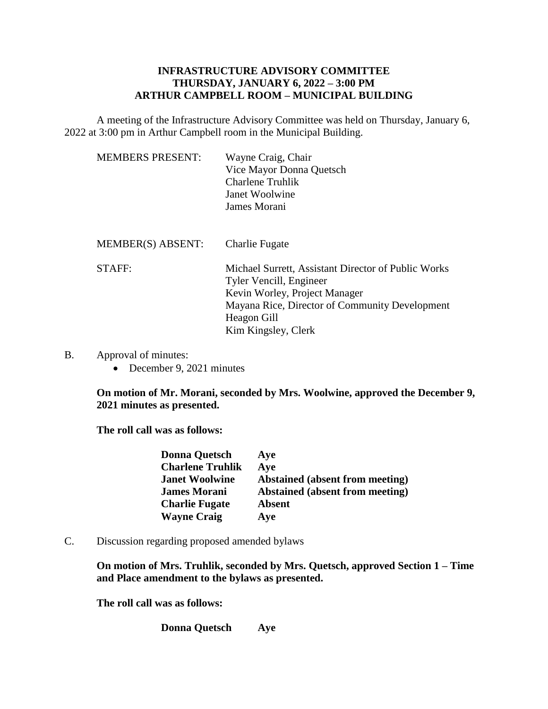## **INFRASTRUCTURE ADVISORY COMMITTEE THURSDAY, JANUARY 6, 2022 – 3:00 PM ARTHUR CAMPBELL ROOM – MUNICIPAL BUILDING**

A meeting of the Infrastructure Advisory Committee was held on Thursday, January 6, 2022 at 3:00 pm in Arthur Campbell room in the Municipal Building.

| <b>MEMBERS PRESENT:</b> | Wayne Craig, Chair<br>Vice Mayor Donna Quetsch<br><b>Charlene Truhlik</b><br>Janet Woolwine<br>James Morani                                                                                             |
|-------------------------|---------------------------------------------------------------------------------------------------------------------------------------------------------------------------------------------------------|
| MEMBER(S) ABSENT:       | Charlie Fugate                                                                                                                                                                                          |
| STAFF:                  | Michael Surrett, Assistant Director of Public Works<br>Tyler Vencill, Engineer<br>Kevin Worley, Project Manager<br>Mayana Rice, Director of Community Development<br>Heagon Gill<br>Kim Kingsley, Clerk |

B. Approval of minutes:

• December 9, 2021 minutes

**On motion of Mr. Morani, seconded by Mrs. Woolwine, approved the December 9, 2021 minutes as presented.**

**The roll call was as follows:**

| Donna Quetsch           | Aye                                    |
|-------------------------|----------------------------------------|
| <b>Charlene Truhlik</b> | Aye                                    |
| <b>Janet Woolwine</b>   | <b>Abstained (absent from meeting)</b> |
| <b>James Morani</b>     | <b>Abstained (absent from meeting)</b> |
| <b>Charlie Fugate</b>   | <b>Absent</b>                          |
| <b>Wayne Craig</b>      | Aye                                    |

C. Discussion regarding proposed amended bylaws

**On motion of Mrs. Truhlik, seconded by Mrs. Quetsch, approved Section 1 – Time and Place amendment to the bylaws as presented.**

**The roll call was as follows:**

**Donna Quetsch Aye**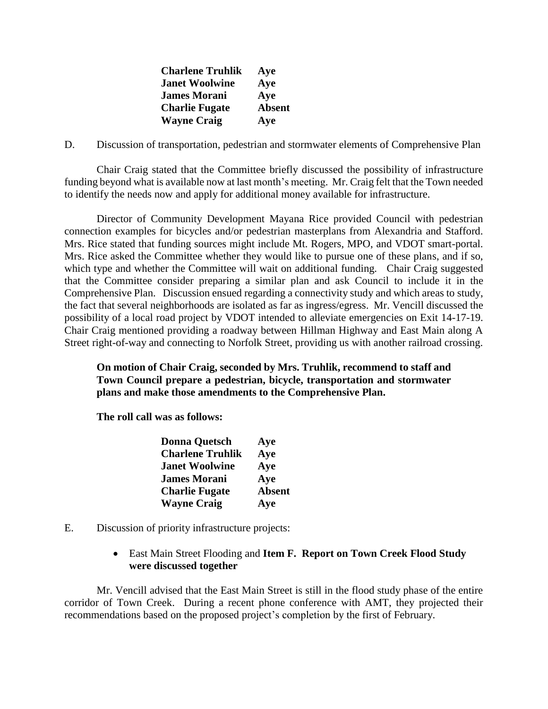| <b>Charlene Truhlik</b> | Aye           |
|-------------------------|---------------|
| <b>Janet Woolwine</b>   | Aye           |
| <b>James Morani</b>     | Aye           |
| <b>Charlie Fugate</b>   | <b>Absent</b> |
| <b>Wayne Craig</b>      | Aye           |

D. Discussion of transportation, pedestrian and stormwater elements of Comprehensive Plan

Chair Craig stated that the Committee briefly discussed the possibility of infrastructure funding beyond what is available now at last month's meeting. Mr. Craig felt that the Town needed to identify the needs now and apply for additional money available for infrastructure.

Director of Community Development Mayana Rice provided Council with pedestrian connection examples for bicycles and/or pedestrian masterplans from Alexandria and Stafford. Mrs. Rice stated that funding sources might include Mt. Rogers, MPO, and VDOT smart-portal. Mrs. Rice asked the Committee whether they would like to pursue one of these plans, and if so, which type and whether the Committee will wait on additional funding. Chair Craig suggested that the Committee consider preparing a similar plan and ask Council to include it in the Comprehensive Plan. Discussion ensued regarding a connectivity study and which areas to study, the fact that several neighborhoods are isolated as far as ingress/egress. Mr. Vencill discussed the possibility of a local road project by VDOT intended to alleviate emergencies on Exit 14-17-19. Chair Craig mentioned providing a roadway between Hillman Highway and East Main along A Street right-of-way and connecting to Norfolk Street, providing us with another railroad crossing.

**On motion of Chair Craig, seconded by Mrs. Truhlik, recommend to staff and Town Council prepare a pedestrian, bicycle, transportation and stormwater plans and make those amendments to the Comprehensive Plan.**

**The roll call was as follows:**

| <b>Donna Quetsch</b>    | Aye           |
|-------------------------|---------------|
| <b>Charlene Truhlik</b> | Aye           |
| <b>Janet Woolwine</b>   | Aye           |
| <b>James Morani</b>     | Aye           |
| <b>Charlie Fugate</b>   | <b>Absent</b> |
| <b>Wayne Craig</b>      | Aye           |

- E. Discussion of priority infrastructure projects:
	- East Main Street Flooding and **Item F. Report on Town Creek Flood Study were discussed together**

Mr. Vencill advised that the East Main Street is still in the flood study phase of the entire corridor of Town Creek. During a recent phone conference with AMT, they projected their recommendations based on the proposed project's completion by the first of February.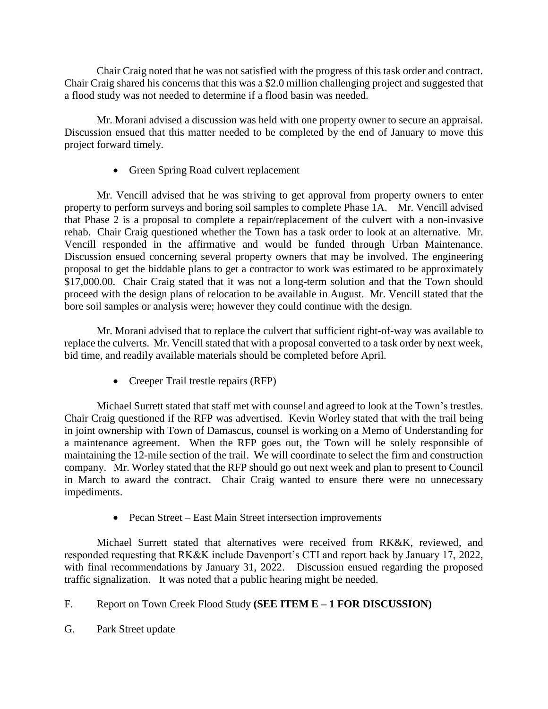Chair Craig noted that he was not satisfied with the progress of this task order and contract. Chair Craig shared his concerns that this was a \$2.0 million challenging project and suggested that a flood study was not needed to determine if a flood basin was needed.

Mr. Morani advised a discussion was held with one property owner to secure an appraisal. Discussion ensued that this matter needed to be completed by the end of January to move this project forward timely.

• Green Spring Road culvert replacement

Mr. Vencill advised that he was striving to get approval from property owners to enter property to perform surveys and boring soil samples to complete Phase 1A. Mr. Vencill advised that Phase 2 is a proposal to complete a repair/replacement of the culvert with a non-invasive rehab. Chair Craig questioned whether the Town has a task order to look at an alternative. Mr. Vencill responded in the affirmative and would be funded through Urban Maintenance. Discussion ensued concerning several property owners that may be involved. The engineering proposal to get the biddable plans to get a contractor to work was estimated to be approximately \$17,000.00. Chair Craig stated that it was not a long-term solution and that the Town should proceed with the design plans of relocation to be available in August. Mr. Vencill stated that the bore soil samples or analysis were; however they could continue with the design.

Mr. Morani advised that to replace the culvert that sufficient right-of-way was available to replace the culverts. Mr. Vencill stated that with a proposal converted to a task order by next week, bid time, and readily available materials should be completed before April.

• Creeper Trail trestle repairs (RFP)

Michael Surrett stated that staff met with counsel and agreed to look at the Town's trestles. Chair Craig questioned if the RFP was advertised. Kevin Worley stated that with the trail being in joint ownership with Town of Damascus, counsel is working on a Memo of Understanding for a maintenance agreement. When the RFP goes out, the Town will be solely responsible of maintaining the 12-mile section of the trail. We will coordinate to select the firm and construction company. Mr. Worley stated that the RFP should go out next week and plan to present to Council in March to award the contract. Chair Craig wanted to ensure there were no unnecessary impediments.

• Pecan Street – East Main Street intersection improvements

Michael Surrett stated that alternatives were received from RK&K, reviewed, and responded requesting that RK&K include Davenport's CTI and report back by January 17, 2022, with final recommendations by January 31, 2022. Discussion ensued regarding the proposed traffic signalization. It was noted that a public hearing might be needed.

## F. Report on Town Creek Flood Study **(SEE ITEM E – 1 FOR DISCUSSION)**

G. Park Street update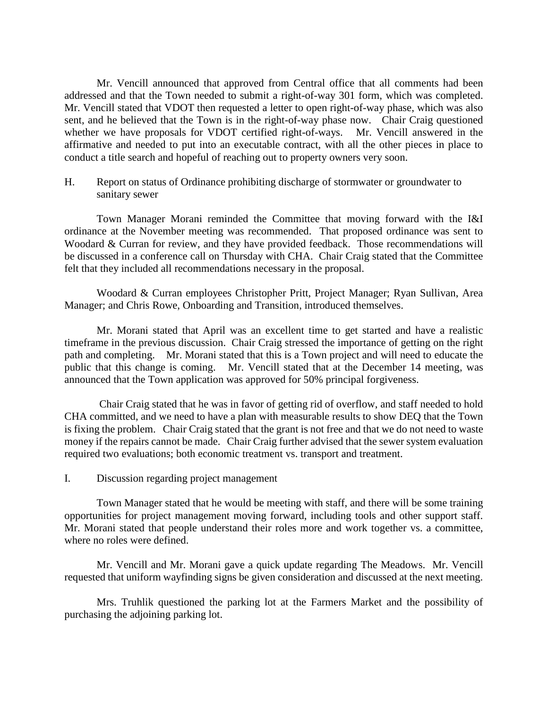Mr. Vencill announced that approved from Central office that all comments had been addressed and that the Town needed to submit a right-of-way 301 form, which was completed. Mr. Vencill stated that VDOT then requested a letter to open right-of-way phase, which was also sent, and he believed that the Town is in the right-of-way phase now. Chair Craig questioned whether we have proposals for VDOT certified right-of-ways. Mr. Vencill answered in the affirmative and needed to put into an executable contract, with all the other pieces in place to conduct a title search and hopeful of reaching out to property owners very soon.

H. Report on status of Ordinance prohibiting discharge of stormwater or groundwater to sanitary sewer

Town Manager Morani reminded the Committee that moving forward with the I&I ordinance at the November meeting was recommended. That proposed ordinance was sent to Woodard & Curran for review, and they have provided feedback. Those recommendations will be discussed in a conference call on Thursday with CHA. Chair Craig stated that the Committee felt that they included all recommendations necessary in the proposal.

Woodard & Curran employees Christopher Pritt, Project Manager; Ryan Sullivan, Area Manager; and Chris Rowe, Onboarding and Transition, introduced themselves.

Mr. Morani stated that April was an excellent time to get started and have a realistic timeframe in the previous discussion. Chair Craig stressed the importance of getting on the right path and completing. Mr. Morani stated that this is a Town project and will need to educate the public that this change is coming. Mr. Vencill stated that at the December 14 meeting, was announced that the Town application was approved for 50% principal forgiveness.

Chair Craig stated that he was in favor of getting rid of overflow, and staff needed to hold CHA committed, and we need to have a plan with measurable results to show DEQ that the Town is fixing the problem. Chair Craig stated that the grant is not free and that we do not need to waste money if the repairs cannot be made. Chair Craig further advised that the sewer system evaluation required two evaluations; both economic treatment vs. transport and treatment.

I. Discussion regarding project management

Town Manager stated that he would be meeting with staff, and there will be some training opportunities for project management moving forward, including tools and other support staff. Mr. Morani stated that people understand their roles more and work together vs. a committee, where no roles were defined.

Mr. Vencill and Mr. Morani gave a quick update regarding The Meadows. Mr. Vencill requested that uniform wayfinding signs be given consideration and discussed at the next meeting.

Mrs. Truhlik questioned the parking lot at the Farmers Market and the possibility of purchasing the adjoining parking lot.